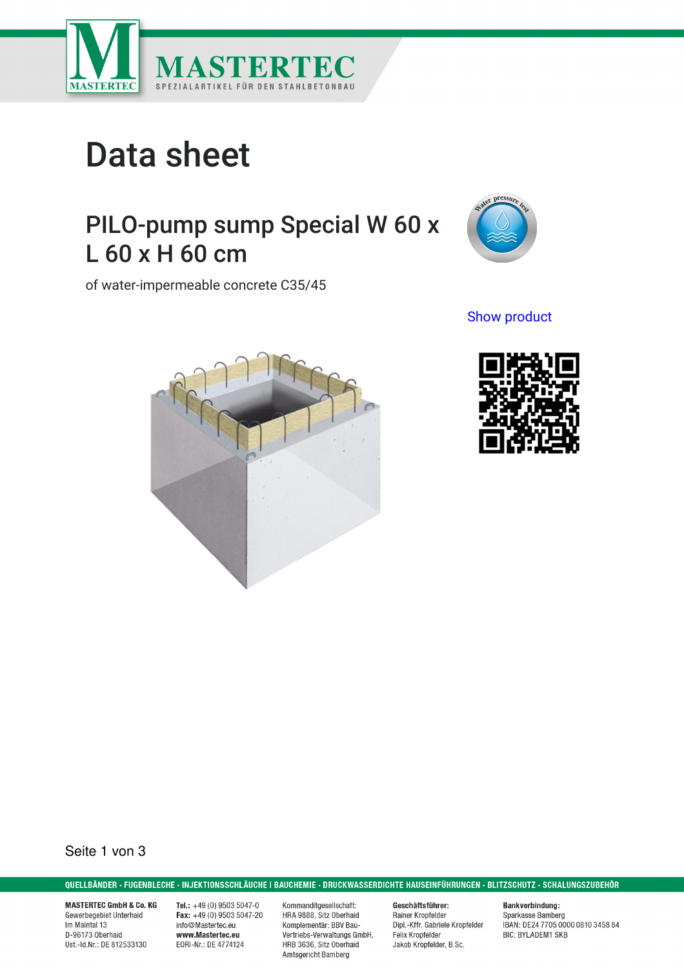

# Data sheet

## PILO-pump sump Special W 60 x L 60 x H 60 cm

of water-impermeable concrete C35/45



Show [product](https://www.mastertec.eu/en/product/00090443)





Seite 1 von 3

QUELLBÄNDER · FUGENBLECHE · INJEKTIONSSCHLÄUCHE I BAUCHEMIE · DRUCKWASSERDICHTE HAUSEINFÜHRUNGEN · BLITZSCHUTZ · SCHALUNGSZUBEHÖR

**MASTERTEC GmbH & Co. KG** Gewerbegebiet Unterhaid Im Maintal 13 D-96173 Oberhaid Ust.-Id.Nr.: DE 812533130

Tel.:  $+49(0)$  9503 5047-0 Fax:  $+49(0)$  9503 5047-20 info@Mastertec.eu www.Mastertec.eu EORI-Nr.: DE 4774124

Kommanditgesellschaft: HRA 9888, Sitz Oberhaid Komplementär: BBV Bau-Vertriebs-Verwaltungs GmbH, HRB 3636, Sitz Oberhaid Amtsgericht Bamberg

Geschäftsführer: Rainer Kropfelder Dipl.-Kffr. Gabriele Kropfelder Felix Kropfelder Jakob Kropfelder, B.Sc.

**Bankverbindung:** Sparkasse Bamberg<br>IBAN: DE24 7705 0000 0810 3458 84 **BIC: BYLADEM1 SKB**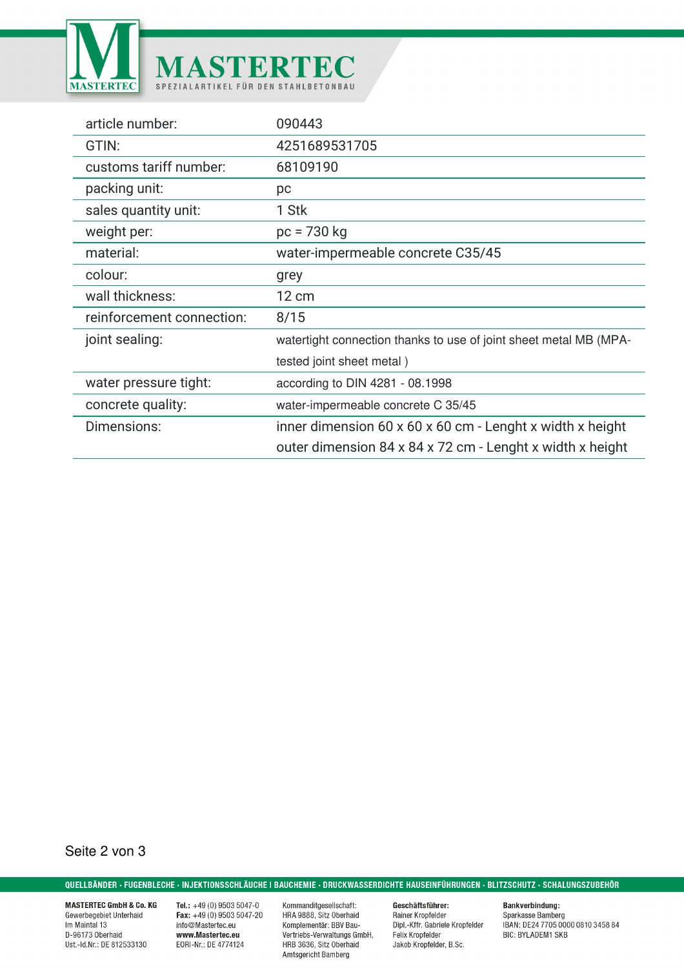

| article number:           | 090443                                                            |
|---------------------------|-------------------------------------------------------------------|
| GTIN:                     | 4251689531705                                                     |
| customs tariff number:    | 68109190                                                          |
| packing unit:             | рc                                                                |
| sales quantity unit:      | 1 Stk                                                             |
| weight per:               | $pc = 730 kg$                                                     |
| material:                 | water-impermeable concrete C35/45                                 |
| colour:                   | grey                                                              |
| wall thickness:           | $12 \text{ cm}$                                                   |
| reinforcement connection: | 8/15                                                              |
| joint sealing:            | watertight connection thanks to use of joint sheet metal MB (MPA- |
|                           | tested joint sheet metal)                                         |
| water pressure tight:     | according to DIN 4281 - 08.1998                                   |
| concrete quality:         | water-impermeable concrete C 35/45                                |
| Dimensions:               | inner dimension 60 x 60 x 60 cm - Lenght x width x height         |
|                           | outer dimension 84 x 84 x 72 cm - Lenght x width x height         |

Seite 2 von 3

QUELLBÄNDER · FUGENBLECHE · INJEKTIONSSCHLÄUCHE I BAUCHEMIE · DRUCKWASSERDICHTE HAUSEINFÜHRUNGEN · BLITZSCHUTZ · SCHALUNGSZUBEHÖR

**MASTERTEC GmbH & Co. KG** Gewerbegebiet Unterhaid Im Maintal 13 D-96173 Oberhaid Ust.-Id.Nr.: DE 812533130

Tel.:  $+49(0)95035047-0$ <br>Fax:  $+49(0)95035047-20$ info@Mastertec.eu www.Mastertec.eu EORI-Nr.: DE 4774124

Kommanditgesellschaft:<br>HRA 9888, Sitz Oberhaid Komplementär: BBV Bau-Vertriebs-Verwaltungs GmbH, HRB 3636, Sitz Oberhaid Amtsgericht Bamberg

Geschäftsführer: Rainer Kropfelder<br>Dipl.-Kffr. Gabriele Kropfelder Felix Kropfelder Jakob Kropfelder, B.Sc.

**Bankverbindung:** Sparkasse Bamberg<br>Bparkasse Bamberg<br>IBAN: DE24 7705 0000 0810 3458 84 **BIC: BYLADEM1 SKB**